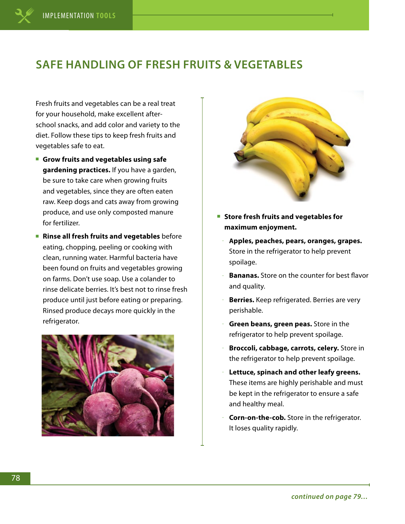## **SAFE HANDLING OF FRESH FRUITS & VEGETABLES**

Fresh fruits and vegetables can be a real treat for your household, make excellent afterschool snacks, and add color and variety to the diet. Follow these tips to keep fresh fruits and vegetables safe to eat.

- **Grow fruits and vegetables using safe gardening practices.** If you have a garden, be sure to take care when growing fruits and vegetables, since they are often eaten raw. Keep dogs and cats away from growing produce, and use only composted manure for fertilizer.
- **Rinse all fresh fruits and vegetables** before eating, chopping, peeling or cooking with clean, running water. Harmful bacteria have been found on fruits and vegetables growing on farms. Don't use soap. Use a colander to rinse delicate berries. It's best not to rinse fresh produce until just before eating or preparing. Rinsed produce decays more quickly in the refrigerator.





- Store fresh fruits and vegetables for **maximum enjoyment.** 
	- **Apples, peaches, pears, oranges, grapes.**  Store in the refrigerator to help prevent spoilage.
- **Bananas.** Store on the counter for best flavor and quality.
- **Berries.** Keep refrigerated. Berries are very perishable.
- **Green beans, green peas.** Store in the refrigerator to help prevent spoilage.
- **Broccoli, cabbage, carrots, celery.** Store in the refrigerator to help prevent spoilage.
- **Lettuce, spinach and other leafy greens.** These items are highly perishable and must be kept in the refrigerator to ensure a safe and healthy meal.
- **Corn-on-the-cob.** Store in the refrigerator. It loses quality rapidly.